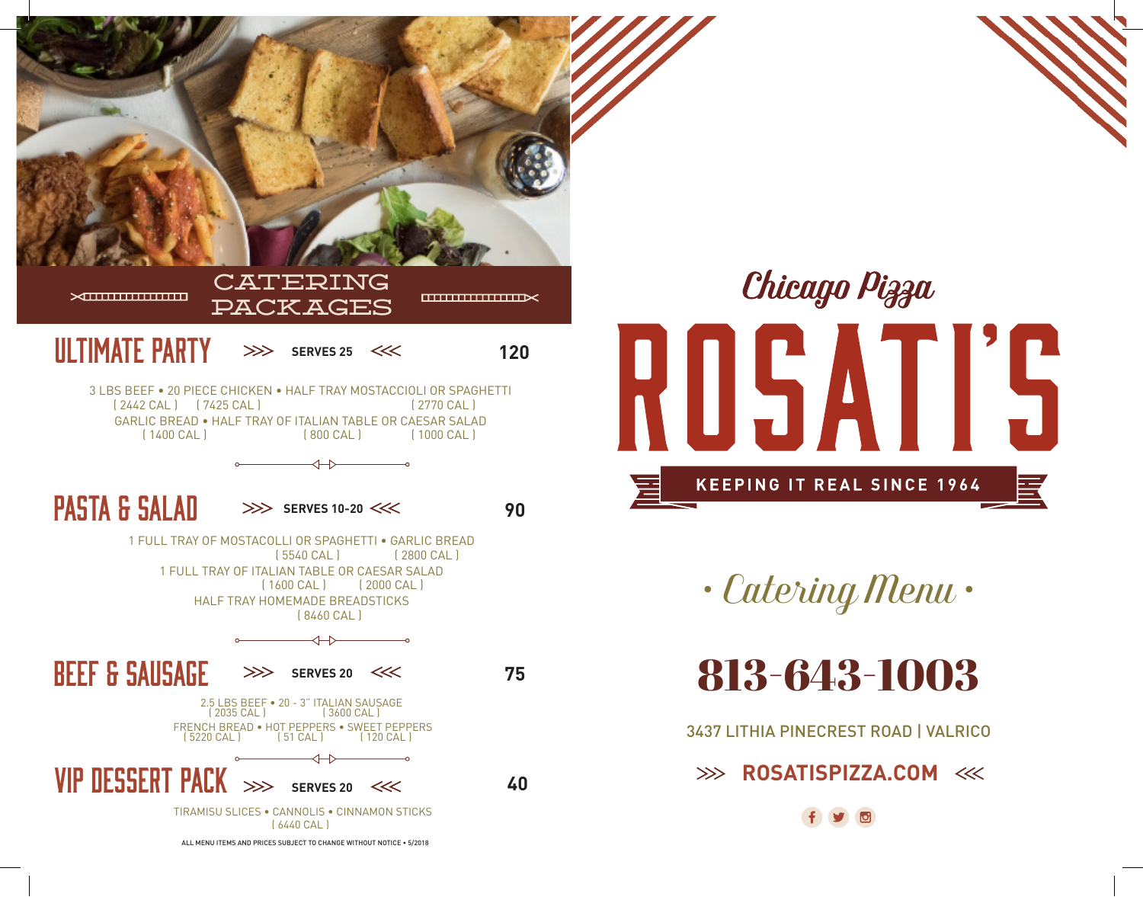



*• Catering Menu •*

813-643-1003

3437 LITHIA PINECREST ROAD | VALRICO

**EXAMPLE 2008 ROSATISPIZZA.COM**